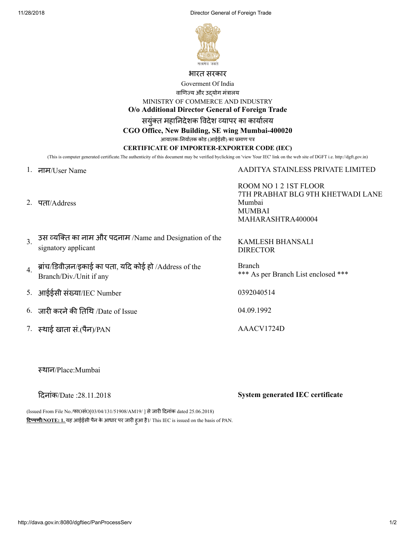11/28/2018 Director General of Foreign Trade



#### भारत सरकार

Goverment Of India

वाणिज्य और उदयोग मंत्रालय

MINISTRY OF COMMERCE AND INDUSTRY

**O/o Additional Director General of Foreign Trade**

सयंक्त महानिदेशक विदेश व्यापर का कार्यालय

**CGO Office, New Building, SE wing Mumbai-400020**

आयातक-निर्यातक कोड (आईईसी) का प्रमाण पत्र

#### **CERTIFICATE OF IMPORTER-EXPORTER CODE (IEC)**

(This is computer generated certificate.The authenticity of this document may be verified byclicking on 'view Your IEC' link on the web site of DGFT i.e. http://dgft.gov.in)

#### 1. नाम/User Name AADITYA STAINLESS PRIVATE LIMITED

2. पता/Address

ROOM NO 1 2 1ST FLOOR 7TH PRABHAT BLG 9TH KHETWADI LANE Mumbai MUMBAI MAHARASHTRA400004

| 3 3स व्यक्ति का नाम और पदनाम /Name and Designation of the<br>signatory applicant | <b>KAMLESH BHANSALI</b><br><b>DIRECTOR</b> |
|----------------------------------------------------------------------------------|--------------------------------------------|
| ब्रांच/डिवीज़न/इकाई का पता, यदि कोई हो /Address of the                           | <b>Branch</b>                              |

Branch \*\*\* As per Branch List enclosed \*\*\*

5. आईईसी संया/IEC Number 0392040514

 $6.$  जारी करने की तिथि /Date of Issue  $04.09.1992$ 

7. स्थाई खाता सं.(पैन)/PAN AAACV1724D

थान/Place:Mumbai

Branch/Div./Unit if any

दनांक/Date :28.11.2018 **System generated IEC certificate**

(Issued From File No./फाOसंO[03/04/131/51908/AM19/] से जारी दिनांक dated 25.06.2018) <mark>टिप्पणी/NOTE: 1. य</mark>ह आईईसी पैन के आधार पर जारी हुआ है।/ This IEC is issued on the basis of PAN.